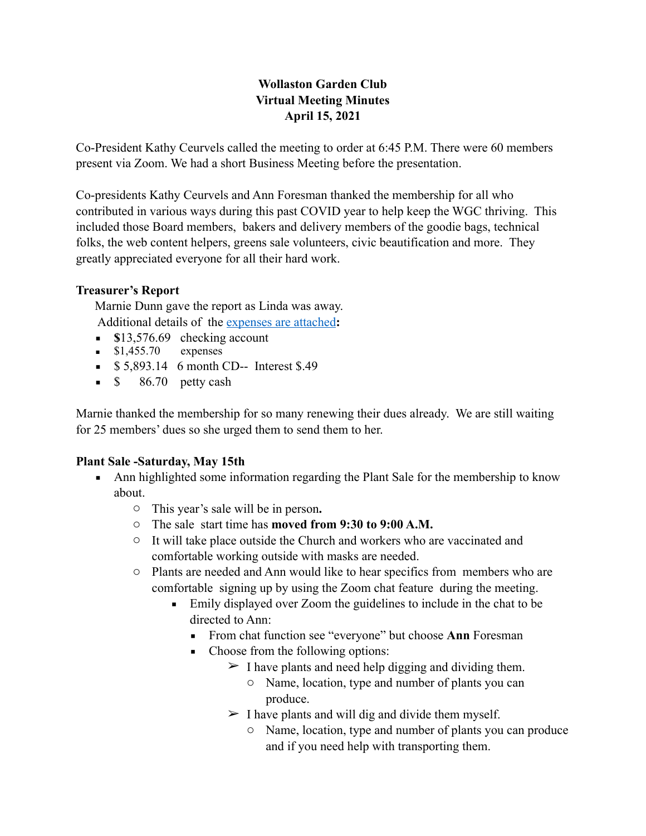## **Wollaston Garden Club Virtual Meeting Minutes April 15, 2021**

Co-President Kathy Ceurvels called the meeting to order at 6:45 P.M. There were 60 members present via Zoom. We had a short Business Meeting before the presentation.

Co-presidents Kathy Ceurvels and Ann Foresman thanked the membership for all who contributed in various ways during this past COVID year to help keep the WGC thriving. This included those Board members, bakers and delivery members of the goodie bags, technical folks, the web content helpers, greens sale volunteers, civic beautification and more. They greatly appreciated everyone for all their hard work.

## **Treasurer's Report**

Marnie Dunn gave the report as Linda was away. Additional details of the expenses are attached**:** 

- **s**13,576.69 checking account
- $$1,455.70$  expenses
- **•** \$5,893.14 6 month CD-- Interest \$.49
- $\bullet$  \$ 86.70 petty cash

Marnie thanked the membership for so many renewing their dues already. We are still waiting for 25 members' dues so she urged them to send them to her.

## **Plant Sale -Saturday, May 15th**

- Ann highlighted some information regarding the Plant Sale for the membership to know about.
	- o This year's sale will be in person**.**
	- o The sale start time has **moved from 9:30 to 9:00 A.M.**
	- o It will take place outside the Church and workers who are vaccinated and comfortable working outside with masks are needed.
	- o Plants are needed and Ann would like to hear specifics from members who are comfortable signing up by using the Zoom chat feature during the meeting.
		- Emily displayed over Zoom the guidelines to include in the chat to be directed to Ann:
			- From chat function see "everyone" but choose **Ann** Foresman
			- Choose from the following options:
				- $\geq$  I have plants and need help digging and dividing them.
					- o Name, location, type and number of plants you can produce.
				- $\triangleright$  I have plants and will dig and divide them myself.
					- o Name, location, type and number of plants you can produce and if you need help with transporting them.